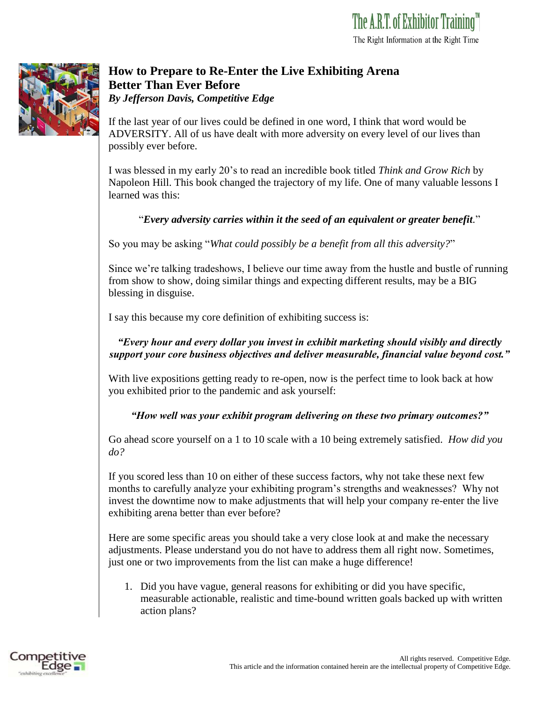

## **How to Prepare to Re-Enter the Live Exhibiting Arena Better Than Ever Before**  *By Jefferson Davis, Competitive Edge*

If the last year of our lives could be defined in one word, I think that word would be ADVERSITY. All of us have dealt with more adversity on every level of our lives than possibly ever before.

I was blessed in my early 20's to read an incredible book titled *Think and Grow Rich* by Napoleon Hill. This book changed the trajectory of my life. One of many valuable lessons I learned was this:

## "*Every adversity carries within it the seed of an equivalent or greater benefit.*"

So you may be asking "*What could possibly be a benefit from all this adversity?*"

Since we're talking tradeshows, I believe our time away from the hustle and bustle of running from show to show, doing similar things and expecting different results, may be a BIG blessing in disguise.

I say this because my core definition of exhibiting success is:

## *"Every hour and every dollar you invest in exhibit marketing should visibly and directly support your core business objectives and deliver measurable, financial value beyond cost."*

With live expositions getting ready to re-open, now is the perfect time to look back at how you exhibited prior to the pandemic and ask yourself:

## *"How well was your exhibit program delivering on these two primary outcomes?"*

Go ahead score yourself on a 1 to 10 scale with a 10 being extremely satisfied. *How did you do?*

If you scored less than 10 on either of these success factors, why not take these next few months to carefully analyze your exhibiting program's strengths and weaknesses? Why not invest the downtime now to make adjustments that will help your company re-enter the live exhibiting arena better than ever before?

Here are some specific areas you should take a very close look at and make the necessary adjustments. Please understand you do not have to address them all right now. Sometimes, just one or two improvements from the list can make a huge difference!

1. Did you have vague, general reasons for exhibiting or did you have specific, measurable actionable, realistic and time-bound written goals backed up with written action plans?

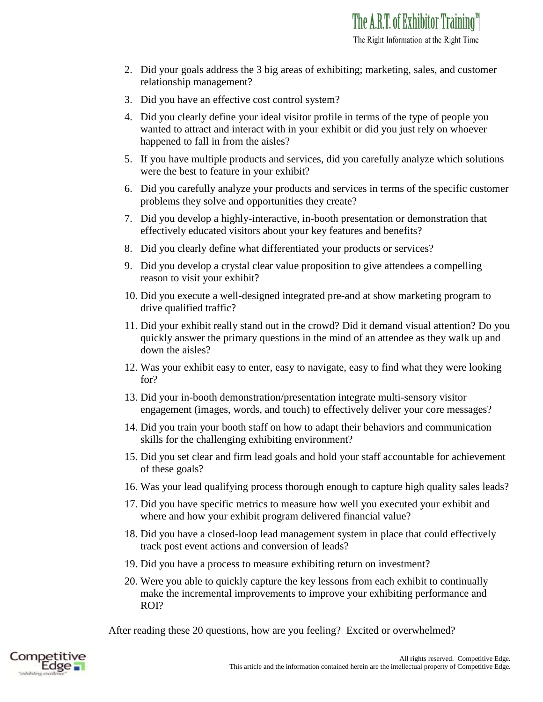- 2. Did your goals address the 3 big areas of exhibiting; marketing, sales, and customer relationship management?
- 3. Did you have an effective cost control system?
- 4. Did you clearly define your ideal visitor profile in terms of the type of people you wanted to attract and interact with in your exhibit or did you just rely on whoever happened to fall in from the aisles?
- 5. If you have multiple products and services, did you carefully analyze which solutions were the best to feature in your exhibit?
- 6. Did you carefully analyze your products and services in terms of the specific customer problems they solve and opportunities they create?
- 7. Did you develop a highly-interactive, in-booth presentation or demonstration that effectively educated visitors about your key features and benefits?
- 8. Did you clearly define what differentiated your products or services?
- 9. Did you develop a crystal clear value proposition to give attendees a compelling reason to visit your exhibit?
- 10. Did you execute a well-designed integrated pre-and at show marketing program to drive qualified traffic?
- 11. Did your exhibit really stand out in the crowd? Did it demand visual attention? Do you quickly answer the primary questions in the mind of an attendee as they walk up and down the aisles?
- 12. Was your exhibit easy to enter, easy to navigate, easy to find what they were looking for?
- 13. Did your in-booth demonstration/presentation integrate multi-sensory visitor engagement (images, words, and touch) to effectively deliver your core messages?
- 14. Did you train your booth staff on how to adapt their behaviors and communication skills for the challenging exhibiting environment?
- 15. Did you set clear and firm lead goals and hold your staff accountable for achievement of these goals?
- 16. Was your lead qualifying process thorough enough to capture high quality sales leads?
- 17. Did you have specific metrics to measure how well you executed your exhibit and where and how your exhibit program delivered financial value?
- 18. Did you have a closed-loop lead management system in place that could effectively track post event actions and conversion of leads?
- 19. Did you have a process to measure exhibiting return on investment?
- 20. Were you able to quickly capture the key lessons from each exhibit to continually make the incremental improvements to improve your exhibiting performance and ROI?

After reading these 20 questions, how are you feeling? Excited or overwhelmed?